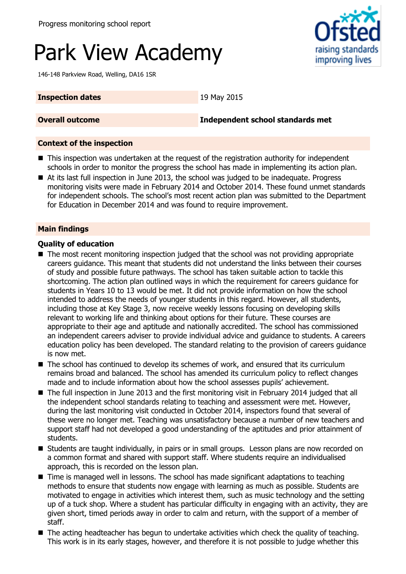# Park View Academy

146-148 Parkview Road, Welling, DA16 1SR

#### **Inspection dates** 19 May 2015

#### **Overall outcome Independent school standards met**

#### **Context of the inspection**

- **This inspection was undertaken at the request of the registration authority for independent** schools in order to monitor the progress the school has made in implementing its action plan.
- At its last full inspection in June 2013, the school was judged to be inadequate. Progress monitoring visits were made in February 2014 and October 2014. These found unmet standards for independent schools. The school's most recent action plan was submitted to the Department for Education in December 2014 and was found to require improvement.

#### **Main findings**

#### **Quality of education**

- The most recent monitoring inspection judged that the school was not providing appropriate careers guidance. This meant that students did not understand the links between their courses of study and possible future pathways. The school has taken suitable action to tackle this shortcoming. The action plan outlined ways in which the requirement for careers guidance for students in Years 10 to 13 would be met. It did not provide information on how the school intended to address the needs of younger students in this regard. However, all students, including those at Key Stage 3, now receive weekly lessons focusing on developing skills relevant to working life and thinking about options for their future. These courses are appropriate to their age and aptitude and nationally accredited. The school has commissioned an independent careers adviser to provide individual advice and guidance to students. A careers education policy has been developed. The standard relating to the provision of careers guidance is now met.
- The school has continued to develop its schemes of work, and ensured that its curriculum remains broad and balanced. The school has amended its curriculum policy to reflect changes made and to include information about how the school assesses pupils' achievement.
- The full inspection in June 2013 and the first monitoring visit in February 2014 judged that all the independent school standards relating to teaching and assessment were met. However, during the last monitoring visit conducted in October 2014, inspectors found that several of these were no longer met. Teaching was unsatisfactory because a number of new teachers and support staff had not developed a good understanding of the aptitudes and prior attainment of students.
- **E** Students are taught individually, in pairs or in small groups. Lesson plans are now recorded on a common format and shared with support staff. Where students require an individualised approach, this is recorded on the lesson plan.
- Time is managed well in lessons. The school has made significant adaptations to teaching methods to ensure that students now engage with learning as much as possible. Students are motivated to engage in activities which interest them, such as music technology and the setting up of a tuck shop. Where a student has particular difficulty in engaging with an activity, they are given short, timed periods away in order to calm and return, with the support of a member of staff.
- The acting headteacher has begun to undertake activities which check the quality of teaching. This work is in its early stages, however, and therefore it is not possible to judge whether this

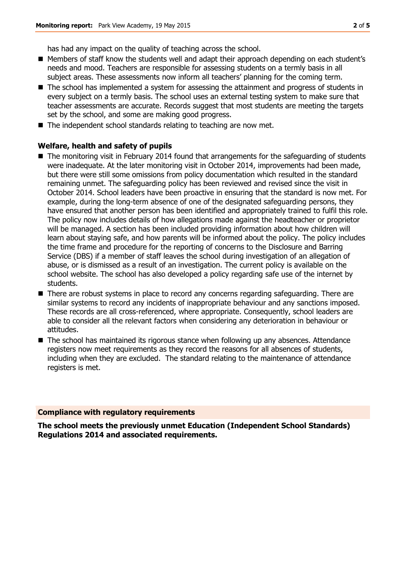has had any impact on the quality of teaching across the school.

- Members of staff know the students well and adapt their approach depending on each student's needs and mood. Teachers are responsible for assessing students on a termly basis in all subject areas. These assessments now inform all teachers' planning for the coming term.
- The school has implemented a system for assessing the attainment and progress of students in every subject on a termly basis. The school uses an external testing system to make sure that teacher assessments are accurate. Records suggest that most students are meeting the targets set by the school, and some are making good progress.
- The independent school standards relating to teaching are now met.

#### **Welfare, health and safety of pupils**

- The monitoring visit in February 2014 found that arrangements for the safeguarding of students were inadequate. At the later monitoring visit in October 2014, improvements had been made, but there were still some omissions from policy documentation which resulted in the standard remaining unmet. The safeguarding policy has been reviewed and revised since the visit in October 2014. School leaders have been proactive in ensuring that the standard is now met. For example, during the long-term absence of one of the designated safeguarding persons, they have ensured that another person has been identified and appropriately trained to fulfil this role. The policy now includes details of how allegations made against the headteacher or proprietor will be managed. A section has been included providing information about how children will learn about staying safe, and how parents will be informed about the policy. The policy includes the time frame and procedure for the reporting of concerns to the Disclosure and Barring Service (DBS) if a member of staff leaves the school during investigation of an allegation of abuse, or is dismissed as a result of an investigation. The current policy is available on the school website. The school has also developed a policy regarding safe use of the internet by students.
- There are robust systems in place to record any concerns regarding safeguarding. There are similar systems to record any incidents of inappropriate behaviour and any sanctions imposed. These records are all cross-referenced, where appropriate. Consequently, school leaders are able to consider all the relevant factors when considering any deterioration in behaviour or attitudes.
- The school has maintained its rigorous stance when following up any absences. Attendance registers now meet requirements as they record the reasons for all absences of students, including when they are excluded. The standard relating to the maintenance of attendance registers is met.

#### **Compliance with regulatory requirements**

**The school meets the previously unmet Education (Independent School Standards) Regulations 2014 and associated requirements.**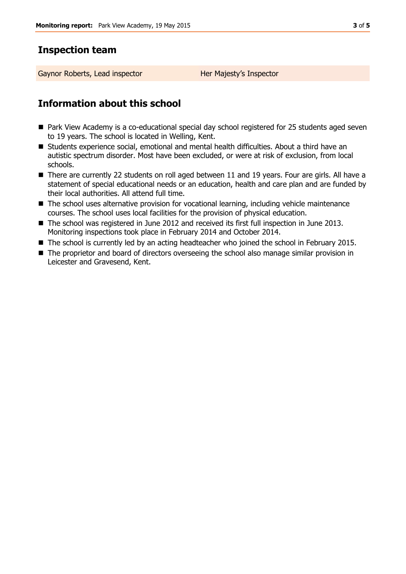## **Inspection team**

Gaynor Roberts, Lead inspector **Her Majesty's Inspector** 

## **Information about this school**

- Park View Academy is a co-educational special day school registered for 25 students aged seven to 19 years. The school is located in Welling, Kent.
- Students experience social, emotional and mental health difficulties. About a third have an autistic spectrum disorder. Most have been excluded, or were at risk of exclusion, from local schools.
- There are currently 22 students on roll aged between 11 and 19 years. Four are girls. All have a statement of special educational needs or an education, health and care plan and are funded by their local authorities. All attend full time.
- The school uses alternative provision for vocational learning, including vehicle maintenance courses. The school uses local facilities for the provision of physical education.
- The school was registered in June 2012 and received its first full inspection in June 2013. Monitoring inspections took place in February 2014 and October 2014.
- The school is currently led by an acting headteacher who joined the school in February 2015.
- The proprietor and board of directors overseeing the school also manage similar provision in Leicester and Gravesend, Kent.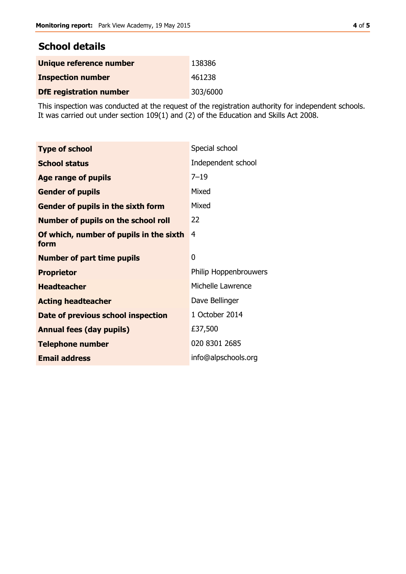### **School details**

| Unique reference number        | 138386   |
|--------------------------------|----------|
| <b>Inspection number</b>       | 461238   |
| <b>DfE registration number</b> | 303/6000 |

This inspection was conducted at the request of the registration authority for independent schools. It was carried out under section 109(1) and (2) of the Education and Skills Act 2008.

| <b>Type of school</b>                           | Special school        |
|-------------------------------------------------|-----------------------|
| <b>School status</b>                            | Independent school    |
| <b>Age range of pupils</b>                      | $7 - 19$              |
| <b>Gender of pupils</b>                         | Mixed                 |
| Gender of pupils in the sixth form              | Mixed                 |
| <b>Number of pupils on the school roll</b>      | 22                    |
| Of which, number of pupils in the sixth<br>form | 4                     |
| <b>Number of part time pupils</b>               | 0                     |
| <b>Proprietor</b>                               | Philip Hoppenbrouwers |
| <b>Headteacher</b>                              | Michelle Lawrence     |
| <b>Acting headteacher</b>                       | Dave Bellinger        |
| Date of previous school inspection              | 1 October 2014        |
| <b>Annual fees (day pupils)</b>                 | £37,500               |
| <b>Telephone number</b>                         | 020 8301 2685         |
| <b>Email address</b>                            | info@alpschools.org   |
|                                                 |                       |